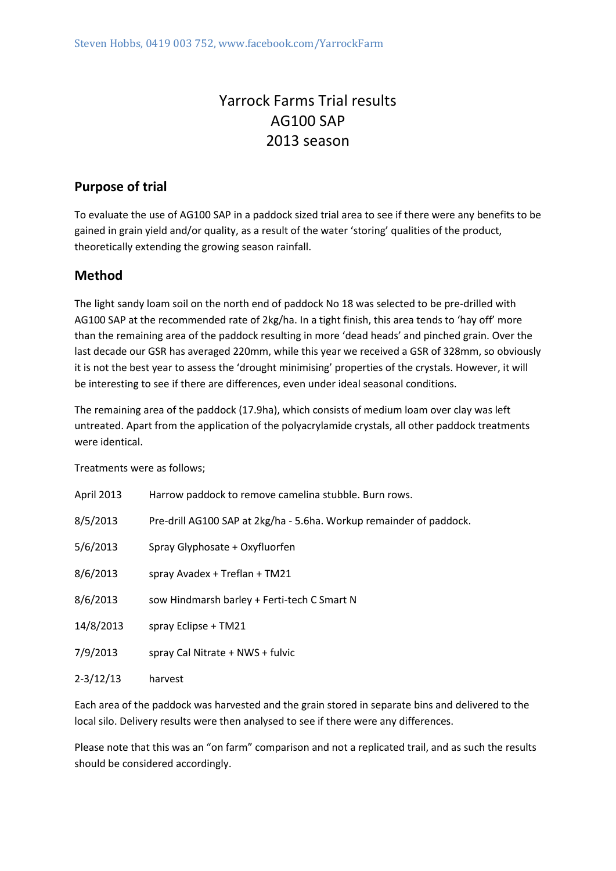# Yarrock Farms Trial results AG100 SAP 2013 season

# **Purpose of trial**

To evaluate the use of AG100 SAP in a paddock sized trial area to see if there were any benefits to be gained in grain yield and/or quality, as a result of the water 'storing' qualities of the product, theoretically extending the growing season rainfall.

## **Method**

The light sandy loam soil on the north end of paddock No 18 was selected to be pre-drilled with AG100 SAP at the recommended rate of 2kg/ha. In a tight finish, this area tends to 'hay off' more than the remaining area of the paddock resulting in more 'dead heads' and pinched grain. Over the last decade our GSR has averaged 220mm, while this year we received a GSR of 328mm, so obviously it is not the best year to assess the 'drought minimising' properties of the crystals. However, it will be interesting to see if there are differences, even under ideal seasonal conditions.

The remaining area of the paddock (17.9ha), which consists of medium loam over clay was left untreated. Apart from the application of the polyacrylamide crystals, all other paddock treatments were identical.

Treatments were as follows;

| April 2013    | Harrow paddock to remove camelina stubble. Burn rows.               |
|---------------|---------------------------------------------------------------------|
| 8/5/2013      | Pre-drill AG100 SAP at 2kg/ha - 5.6ha. Workup remainder of paddock. |
| 5/6/2013      | Spray Glyphosate + Oxyfluorfen                                      |
| 8/6/2013      | spray Avadex + Treflan + TM21                                       |
| 8/6/2013      | sow Hindmarsh barley + Ferti-tech C Smart N                         |
| 14/8/2013     | spray Eclipse + TM21                                                |
| 7/9/2013      | spray Cal Nitrate + NWS + fulvic                                    |
| $2 - 3/12/13$ | harvest                                                             |

Each area of the paddock was harvested and the grain stored in separate bins and delivered to the local silo. Delivery results were then analysed to see if there were any differences.

Please note that this was an "on farm" comparison and not a replicated trail, and as such the results should be considered accordingly.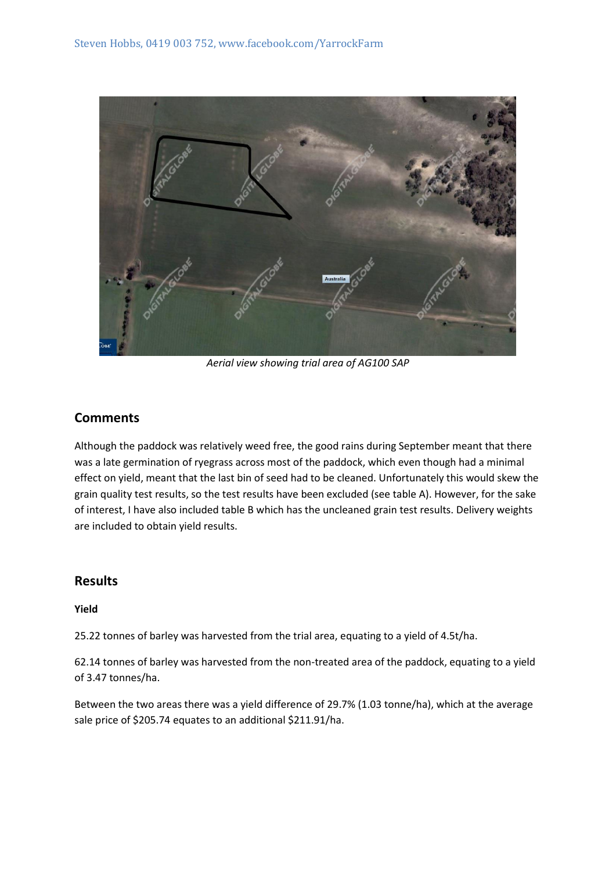

*Aerial view showing trial area of AG100 SAP*

## **Comments**

Although the paddock was relatively weed free, the good rains during September meant that there was a late germination of ryegrass across most of the paddock, which even though had a minimal effect on yield, meant that the last bin of seed had to be cleaned. Unfortunately this would skew the grain quality test results, so the test results have been excluded (see table A). However, for the sake of interest, I have also included table B which has the uncleaned grain test results. Delivery weights are included to obtain yield results.

## **Results**

#### **Yield**

25.22 tonnes of barley was harvested from the trial area, equating to a yield of 4.5t/ha.

62.14 tonnes of barley was harvested from the non-treated area of the paddock, equating to a yield of 3.47 tonnes/ha.

Between the two areas there was a yield difference of 29.7% (1.03 tonne/ha), which at the average sale price of \$205.74 equates to an additional \$211.91/ha.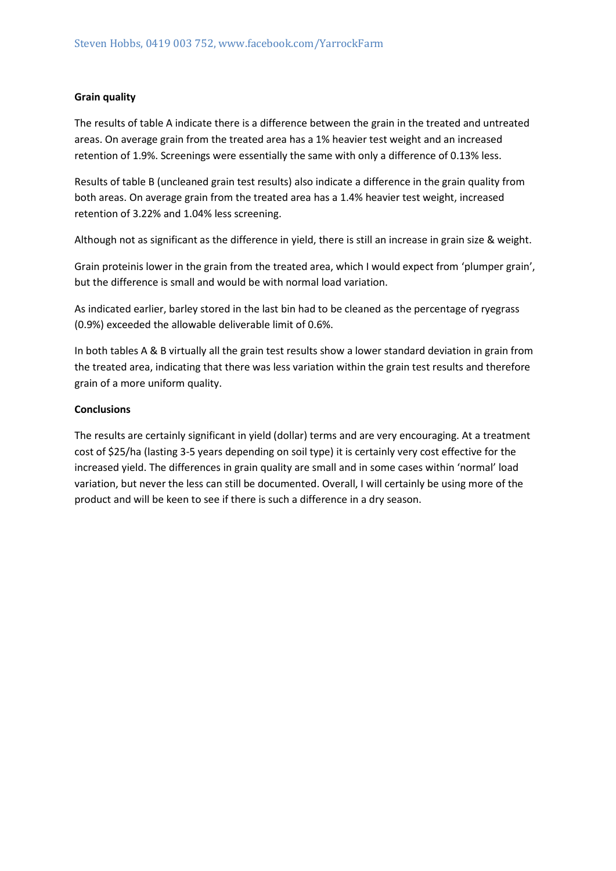#### **Grain quality**

The results of table A indicate there is a difference between the grain in the treated and untreated areas. On average grain from the treated area has a 1% heavier test weight and an increased retention of 1.9%. Screenings were essentially the same with only a difference of 0.13% less.

Results of table B (uncleaned grain test results) also indicate a difference in the grain quality from both areas. On average grain from the treated area has a 1.4% heavier test weight, increased retention of 3.22% and 1.04% less screening.

Although not as significant as the difference in yield, there is still an increase in grain size & weight.

Grain proteinis lower in the grain from the treated area, which I would expect from 'plumper grain', but the difference is small and would be with normal load variation.

As indicated earlier, barley stored in the last bin had to be cleaned as the percentage of ryegrass (0.9%) exceeded the allowable deliverable limit of 0.6%.

In both tables A & B virtually all the grain test results show a lower standard deviation in grain from the treated area, indicating that there was less variation within the grain test results and therefore grain of a more uniform quality.

#### **Conclusions**

The results are certainly significant in yield (dollar) terms and are very encouraging. At a treatment cost of \$25/ha (lasting 3-5 years depending on soil type) it is certainly very cost effective for the increased yield. The differences in grain quality are small and in some cases within 'normal' load variation, but never the less can still be documented. Overall, I will certainly be using more of the product and will be keen to see if there is such a difference in a dry season.